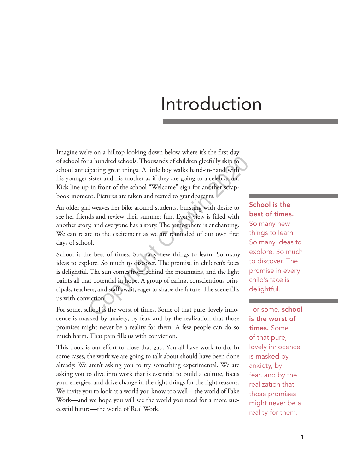# Introduction

Imagine we're on a hilltop looking down below where it's the first day of school for a hundred schools. Thousands of children gleefully skip to school anticipating great things. A little boy walks hand-in-hand with his younger sister and his mother as if they are going to a celebration. Kids line up in front of the school "Welcome" sign for another scrapbook moment. Pictures are taken and texted to grandparents.

An older girl weaves her bike around students, bursting with desire to see her friends and review their summer fun. Every view is filled with another story, and everyone has a story. The atmosphere is enchanting. We can relate to the excitement as we are reminded of our own first days of school.

School is the best of times. So many new things to learn. So many ideas to explore. So much to discover. The promise in children's faces is delightful. The sun comes from behind the mountains, and the light paints all that potential in hope. A group of caring, conscientious principals, teachers, and staff await, eager to shape the future. The scene fills us with conviction. The state of this state of this state of this state of this state and state and his mother as if they are going to a celebration.<br>
in front of the school "Welcome" sign for another scrap-<br>
in front of the school "Welcome"

For some, school is the worst of times. Some of that pure, lovely innocence is masked by anxiety, by fear, and by the realization that those promises might never be a reality for them. A few people can do so much harm. That pain fills us with conviction.

This book is our effort to close that gap. You all have work to do. In some cases, the work we are going to talk about should have been done already. We aren't asking you to try something experimental. We are asking you to dive into work that is essential to build a culture, focus your energies, and drive change in the right things for the right reasons. We invite you to look at a world you know too well—the world of Fake Work—and we hope you will see the world you need for a more successful future—the world of Real Work.

School is the best of times. So many new things to learn. So many ideas to explore. So much to discover. The promise in every child's face is delightful.

For some, school is the worst of times. Some of that pure, lovely innocence is masked by anxiety, by fear, and by the realization that those promises might never be a reality for them.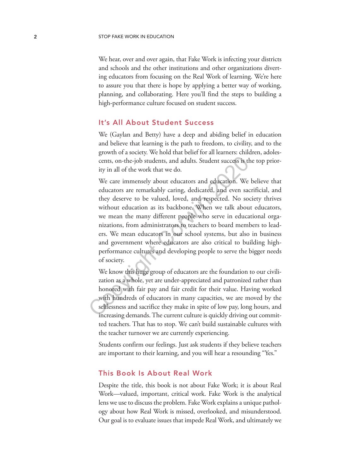We hear, over and over again, that Fake Work is infecting your districts and schools and the other institutions and other organizations diverting educators from focusing on the Real Work of learning. We're here to assure you that there is hope by applying a better way of working, planning, and collaborating. Here you'll find the steps to building a high-performance culture focused on student success.

## It's All About Student Success

We (Gaylan and Betty) have a deep and abiding belief in education and believe that learning is the path to freedom, to civility, and to the growth of a society. We hold that belief for all learners: children, adolescents, on-the-job students, and adults. Student success is the top priority in all of the work that we do.

We care immensely about educators and education. We believe that educators are remarkably caring, dedicated, and even sacrificial, and they deserve to be valued, loved, and respected. No society thrives without education as its backbone. When we talk about educators, we mean the many different people who serve in educational organizations, from administrators to teachers to board members to leaders. We mean educators in our school systems, but also in business and government where educators are also critical to building highperformance cultures and developing people to serve the bigger needs of society. cents, on-the-job students, and adults. Student success is the ity in all of the work that we do.<br>We care immensely about educators and education. We educators are remarkably caring, dedicated, and even sace they deserve t

We know this huge group of educators are the foundation to our civilization as a whole, yet are under-appreciated and patronized rather than honored with fair pay and fair credit for their value. Having worked with hundreds of educators in many capacities, we are moved by the selflessness and sacrifice they make in spite of low pay, long hours, and increasing demands. The current culture is quickly driving out committed teachers. That has to stop. We can't build sustainable cultures with the teacher turnover we are currently experiencing.

Students confirm our feelings. Just ask students if they believe teachers are important to their learning, and you will hear a resounding "Yes."

## This Book Is About Real Work

Despite the title, this book is not about Fake Work; it is about Real Work—valued, important, critical work. Fake Work is the analytical lens we use to discuss the problem. Fake Work explains a unique pathology about how Real Work is missed, overlooked, and misunderstood. Our goal is to evaluate issues that impede Real Work, and ultimately we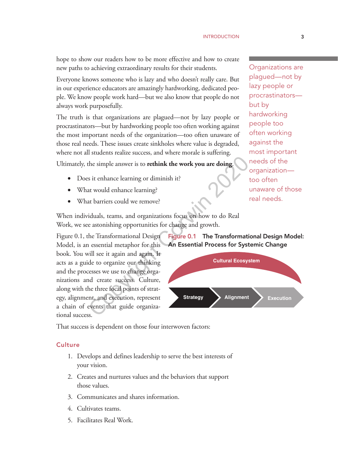hope to show our readers how to be more effective and how to create new paths to achieving extraordinary results for their students.

Everyone knows someone who is lazy and who doesn't really care. But in our experience educators are amazingly hardworking, dedicated people. We know people work hard—but we also know that people do not always work purposefully.

The truth is that organizations are plagued—not by lazy people or procrastinators—but by hardworking people too often working against the most important needs of the organization—too often unaware of those real needs. These issues create sinkholes where value is degraded, where not all students realize success, and where morale is suffering.

Ultimately, the simple answer is to **rethink the work you are doing**.

- Does it enhance learning or diminish it?
- What would enhance learning?
- What barriers could we remove?

When individuals, teams, and organizations focus on how to do Real Work, we see astonishing opportunities for change and growth.

Figure 0.1, the Transformational Design Model, is an essential metaphor for this book. You will see it again and again. It acts as a guide to organize our thinking and the processes we use to change organizations and create success. Culture, along with the three focal points of strategy, alignment, and execution, represent a chain of events that guide organizational success. the simple answer is to **rethink the work you are doing.**<br>
So it enhance learning or diminish it?<br>
at would enhance learning?<br>
at barriers could we remove?<br>
iduals, teams, and organizations focus on how to do Real<br>
e aston

That success is dependent on those four interwoven factors:

## **Culture**

- 1. Develops and defines leadership to serve the best interests of your vision.
- 2. Creates and nurtures values and the behaviors that support those values.
- 3. Communicates and shares information.
- 4. Cultivates teams.
- 5. Facilitates Real Work.

Organizations are plagued—not by lazy people or procrastinators but by hardworking people too often working against the most important needs of the organization too often unaware of those real needs.

Figure 0.1 The Transformational Design Model: An Essential Process for Systemic Change

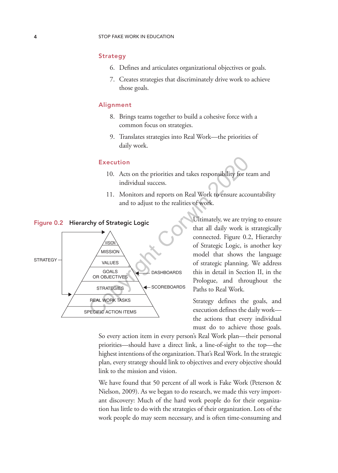#### Strategy

- 6. Defines and articulates organizational objectives or goals.
- 7. Creates strategies that discriminately drive work to achieve those goals.

## Alignment

- 8. Brings teams together to build a cohesive force with a common focus on strategies.
- 9. Translates strategies into Real Work—the priorities of daily work.

#### Execution

- 10. Acts on the priorities and takes responsibility for team and individual success.
- 11. Monitors and reports on Real Work to ensure accountability and to adjust to the realities of work.



Ultimately, we are trying to ensure that all daily work is strategically connected. Figure 0.2, Hierarchy of Strategic Logic, is another key model that shows the language of strategic planning. We address this in detail in Section II, in the Prologue, and throughout the Paths to Real Work.

Strategy defines the goals, and execution defines the daily work the actions that every individual must do to achieve those goals.

So every action item in every person's Real Work plan—their personal priorities—should have a direct link, a line-of-sight to the top—the highest intentions of the organization. That's Real Work. In the strategic plan, every strategy should link to objectives and every objective should link to the mission and vision.

We have found that 50 percent of all work is Fake Work (Peterson & Nielson, 2009). As we began to do research, we made this very important discovery: Much of the hard work people do for their organization has little to do with the strategies of their organization. Lots of the work people do may seem necessary, and is often time-consuming and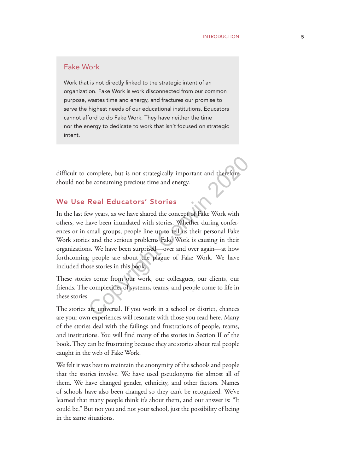## Fake Work

Work that is not directly linked to the strategic intent of an organization. Fake Work is work disconnected from our common purpose, wastes time and energy, and fractures our promise to serve the highest needs of our educational institutions. Educators cannot afford to do Fake Work. They have neither the time nor the energy to dedicate to work that isn't focused on strategic intent.

difficult to complete, but is not strategically important and therefore should not be consuming precious time and energy.

## We Use Real Educators' Stories

In the last few years, as we have shared the concept of Fake Work with others, we have been inundated with stories. Whether during conferences or in small groups, people line up to tell us their personal Fake Work stories and the serious problems Fake Work is causing in their organizations. We have been surprised—over and over again—at how forthcoming people are about the plague of Fake Work. We have included those stories in this book. complete, but is not strategically important and therefore<br>e consuming precious time and energy.<br>**Real Educators' Stories**<br>we years, as we have shared the concept of Fake Work with<br>ave been inundated with stories. Whether

These stories come from our work, our colleagues, our clients, our friends. The complexities of systems, teams, and people come to life in these stories.

The stories are universal. If you work in a school or district, chances are your own experiences will resonate with those you read here. Many of the stories deal with the failings and frustrations of people, teams, and institutions. You will find many of the stories in Section II of the book. They can be frustrating because they are stories about real people caught in the web of Fake Work.

We felt it was best to maintain the anonymity of the schools and people that the stories involve. We have used pseudonyms for almost all of them. We have changed gender, ethnicity, and other factors. Names of schools have also been changed so they can't be recognized. We've learned that many people think it's about them, and our answer is: "It could be." But not you and not your school, just the possibility of being in the same situations.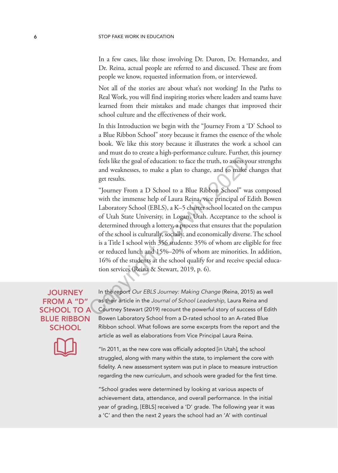In a few cases, like those involving Dr. Duron, Dr. Hernandez, and Dr. Reina, actual people are referred to and discussed. These are from people we know, requested information from, or interviewed.

Not all of the stories are about what's not working! In the Paths to Real Work, you will find inspiring stories where leaders and teams have learned from their mistakes and made changes that improved their school culture and the effectiveness of their work.

In this Introduction we begin with the "Journey From a 'D' School to a Blue Ribbon School" story because it frames the essence of the whole book. We like this story because it illustrates the work a school can and must do to create a high-performance culture. Further, this journey feels like the goal of education: to face the truth, to assess your strengths and weaknesses, to make a plan to change, and to make changes that get results.

"Journey From a D School to a Blue Ribbon School" was composed with the immense help of Laura Reina, vice principal of Edith Bowen Laboratory School (EBLS), a K–5 charter school located on the campus of Utah State University, in Logan, Utah. Acceptance to the school is determined through a lottery, a process that ensures that the population of the school is culturally, socially, and economically diverse. The school is a Title I school with 356 students: 35% of whom are eligible for free or reduced lunch and 15%–20% of whom are minorities. In addition, 16% of the students at the school qualify for and receive special education services (Reina & Stewart, 2019, p. 6). feels like the goal of education: to face the truth, to assess ye and weaknesses, to make a plan to change, and to make get results.<br>"Journey From a D School to a Blue Ribbon School" we with the immense help of Laura Reina

# JOURNEY FROM A "D" SCHOOL TO A BLUE RIBBON **SCHOOL**



In the report Our EBLS Journey: Making Change (Reina, 2015) as well as their article in the Journal of School Leadership, Laura Reina and Courtney Stewart (2019) recount the powerful story of success of Edith Bowen Laboratory School from a D-rated school to an A-rated Blue Ribbon school. What follows are some excerpts from the report and the article as well as elaborations from Vice Principal Laura Reina.

"In 2011, as the new core was officially adopted [in Utah], the school struggled, along with many within the state, to implement the core with fidelity. A new assessment system was put in place to measure instruction regarding the new curriculum, and schools were graded for the first time.

"School grades were determined by looking at various aspects of achievement data, attendance, and overall performance. In the initial year of grading, [EBLS] received a 'D' grade. The following year it was a 'C' and then the next 2 years the school had an 'A' with continual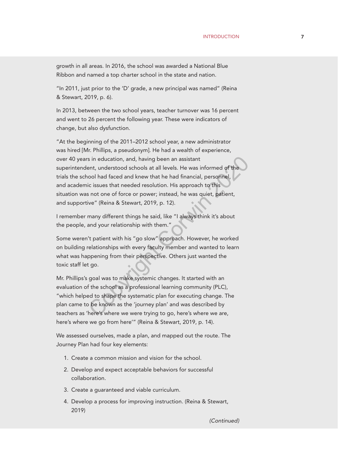growth in all areas. In 2016, the school was awarded a National Blue Ribbon and named a top charter school in the state and nation.

"In 2011, just prior to the 'D' grade, a new principal was named" (Reina & Stewart, 2019, p. 6).

In 2013, between the two school years, teacher turnover was 16 percent and went to 26 percent the following year. These were indicators of change, but also dysfunction.

"At the beginning of the 2011–2012 school year, a new administrator was hired [Mr. Phillips, a pseudonym]. He had a wealth of experience, over 40 years in education, and, having been an assistant superintendent, understood schools at all levels. He was informed of the trials the school had faced and knew that he had financial, personnel, and academic issues that needed resolution. His approach to this situation was not one of force or power; instead, he was quiet, patient, and supportive" (Reina & Stewart, 2019, p. 12). is in education, and, having been an assistant<br>ent, understood schools at all levels. He was informed of the<br>col had faced and knew that he had financial, personnel,<br>ic issues that needed resolution. His approach to this<br>s

I remember many different things he said, like "I always think it's about the people, and your relationship with them."

Some weren't patient with his "go slow" approach. However, he worked on building relationships with every faculty member and wanted to learn what was happening from their perspective. Others just wanted the toxic staff let go.

Mr. Phillips's goal was to make systemic changes. It started with an evaluation of the school as a professional learning community (PLC), "which helped to shape the systematic plan for executing change. The plan came to be known as the 'journey plan' and was described by teachers as 'here's where we were trying to go, here's where we are, here's where we go from here'" (Reina & Stewart, 2019, p. 14).

We assessed ourselves, made a plan, and mapped out the route. The Journey Plan had four key elements:

- 1. Create a common mission and vision for the school.
- 2. Develop and expect acceptable behaviors for successful collaboration.
- 3. Create a guaranteed and viable curriculum.
- 4. Develop a process for improving instruction. (Reina & Stewart, 2019)

*(*Continued*)*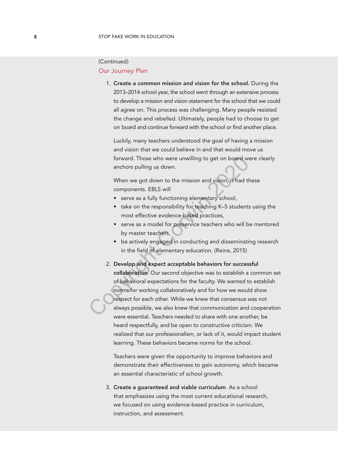## Our Journey Plan (Continued)

1. Create a common mission and vision for the school. During the 2013–2014 school year, the school went through an extensive process to develop a mission and vision statement for the school that we could all agree on. This process was challenging. Many people resisted the change and rebelled. Ultimately, people had to choose to get on board and continue forward with the school or find another place.

Luckily, many teachers understood the goal of having a mission and vision that we could believe in and that would move us forward. Those who were unwilling to get on board were clearly anchors pulling us down.

When we got down to the mission and vision, it had these components. EBLS will

- serve as a fully functioning elementary school,
- take on the responsibility for teaching K–5 students using the most effective evidence-based practices,
- serve as a model for preservice teachers who will be mentored by master teachers,
- be actively engaged in conducting and disseminating research in the field of elementary education. (Reina, 2015)
- 2. Develop and expect acceptable behaviors for successful collaboration. Our second objective was to establish a common set of behavioral expectations for the faculty. We wanted to establish norms for working collaboratively and for how we would show respect for each other. While we knew that consensus was not always possible, we also knew that communication and cooperation were essential. Teachers needed to share with one another, be heard respectfully, and be open to constructive criticism. We realized that our professionalism, or lack of it, would impact student learning. These behaviors became norms for the school. Forward. Those who were unwilling to get on board were anchors pulling us down.<br>
When we got down to the mission and vision, it had the components. EBLS will<br>
• serve as a fully functioning elementary school,<br>
• take on th

Teachers were given the opportunity to improve behaviors and demonstrate their effectiveness to gain autonomy, which became an essential characteristic of school growth.

3. Create a guaranteed and viable curriculum. As a school that emphasizes using the most current educational research, we focused on using evidence-based practice in curriculum, instruction, and assessment.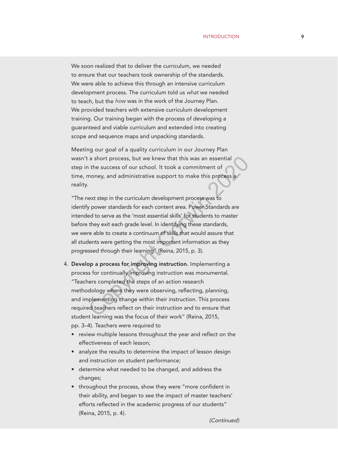We soon realized that to deliver the curriculum, we needed to ensure that our teachers took ownership of the standards. We were able to achieve this through an intensive curriculum development process. The curriculum told us what we needed to teach, but the how was in the work of the Journey Plan. We provided teachers with extensive curriculum development training. Our training began with the process of developing a guaranteed and viable curriculum and extended into creating scope and sequence maps and unpacking standards.

Meeting our goal of a quality curriculum in our Journey Plan wasn't a short process, but we knew that this was an essential step in the success of our school. It took a commitment of time, money, and administrative support to make this process a reality.

"The next step in the curriculum development process was to identify power standards for each content area. Power Standards are intended to serve as the 'most essential skills' for students to master before they exit each grade level. In identifying these standards, we were able to create a continuum of skills that would assure that all students were getting the most important information as they progressed through their learning" (Reina, 2015, p. 3). a short process, but we knew that this was an essential<br>
a the success of our school. It took a commitment of<br>
money, and administrative support to make this process a<br>
cext step in the curriculum development process was t

- 4. Develop a process for improving instruction. Implementing a process for continually improving instruction was monumental. "Teachers completed the steps of an action research methodology where they were observing, reflecting, planning, and implementing change within their instruction. This process required teachers reflect on their instruction and to ensure that student learning was the focus of their work" (Reina, 2015, pp. 3–4). Teachers were required to
	- review multiple lessons throughout the year and reflect on the effectiveness of each lesson;
	- analyze the results to determine the impact of lesson design and instruction on student performance;
	- determine what needed to be changed, and address the changes;
	- throughout the process, show they were "more confident in their ability, and began to see the impact of master teachers' efforts reflected in the academic progress of our students" (Reina, 2015, p. 4).

*(*Continued*)*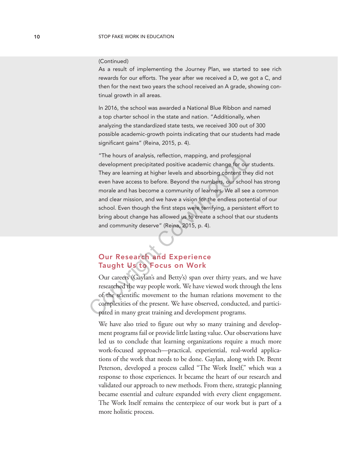#### (Continued)

As a result of implementing the Journey Plan, we started to see rich rewards for our efforts. The year after we received a D, we got a C, and then for the next two years the school received an A grade, showing continual growth in all areas.

In 2016, the school was awarded a National Blue Ribbon and named a top charter school in the state and nation. "Additionally, when analyzing the standardized state tests, we received 300 out of 300 possible academic-growth points indicating that our students had made significant gains" (Reina, 2015, p. 4).

"The hours of analysis, reflection, mapping, and professional development precipitated positive academic change for our students. They are learning at higher levels and absorbing content they did not even have access to before. Beyond the numbers, our school has strong morale and has become a community of learners. We all see a common and clear mission, and we have a vision for the endless potential of our school. Even though the first steps were terrifying, a persistent effort to bring about change has allowed us to create a school that our students and community deserve" (Reina, 2015, p. 4). The nous of alraysis, renection, mapping, and protessional<br>development precipitated positive academic change for our<br>They are learning at higher levels and absorbing content the<br>even have access to before. Beyond the numbe

# Our Research and Experience Taught Us to Focus on Work

Our careers (Gaylan's and Betty's) span over thirty years, and we have researched the way people work. We have viewed work through the lens of the scientific movement to the human relations movement to the complexities of the present. We have observed, conducted, and participated in many great training and development programs.

We have also tried to figure out why so many training and development programs fail or provide little lasting value. Our observations have led us to conclude that learning organizations require a much more work-focused approach—practical, experiential, real-world applications of the work that needs to be done. Gaylan, along with Dr. Brent Peterson, developed a process called "The Work Itself," which was a response to those experiences. It became the heart of our research and validated our approach to new methods. From there, strategic planning became essential and culture expanded with every client engagement. The Work Itself remains the centerpiece of our work but is part of a more holistic process.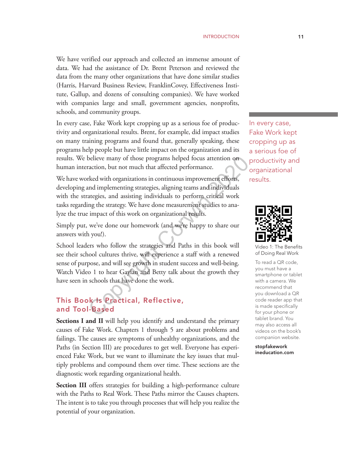We have verified our approach and collected an immense amount of data. We had the assistance of Dr. Brent Peterson and reviewed the data from the many other organizations that have done similar studies (Harris, Harvard Business Review, FranklinCovey, Effectiveness Institute, Gallup, and dozens of consulting companies). We have worked with companies large and small, government agencies, nonprofits, schools, and community groups.

In every case, Fake Work kept cropping up as a serious foe of productivity and organizational results. Brent, for example, did impact studies on many training programs and found that, generally speaking, these programs help people but have little impact on the organization and its results. We believe many of those programs helped focus attention on human interaction, but not much that affected performance.

We have worked with organizations in continuous improvement efforts, developing and implementing strategies, aligning teams and individuals with the strategies, and assisting individuals to perform critical work tasks regarding the strategy. We have done measurement studies to analyze the true impact of this work on organizational results.

Simply put, we've done our homework (and we're happy to share our answers with you!).

School leaders who follow the strategies and Paths in this book will see their school cultures thrive, will experience a staff with a renewed sense of purpose, and will see growth in student success and well-being. Watch Video 1 to hear Gaylan and Betty talk about the growth they have seen in schools that have done the work. believe many of those programs helped focus attention on<br>action, but not much that affected performance.<br>
rked with organizations in continuous improvement efforts,<br>
and implementing strategies, aligning teams and individu

## This Book Is Practical, Reflective, and Tool-Based

**Sections I and II** will help you identify and understand the primary causes of Fake Work. Chapters 1 through 5 are about problems and failings. The causes are symptoms of unhealthy organizations, and the Paths (in Section III) are procedures to get well. Everyone has experienced Fake Work, but we want to illuminate the key issues that multiply problems and compound them over time. These sections are the diagnostic work regarding organizational health.

**Section III** offers strategies for building a high-performance culture with the Paths to Real Work. These Paths mirror the Causes chapters. The intent is to take you through processes that will help you realize the potential of your organization.

In every case, Fake Work kept cropping up as a serious foe of productivity and organizational results.



Video 1: The Benefits of Doing Real Work

To read a QR code, you must have a smartphone or tablet with a camera. We recommend that you download a QR code reader app that is made specifically for your phone or tablet brand. You may also access all videos on the book's companion website.

stopfakework ineducation.com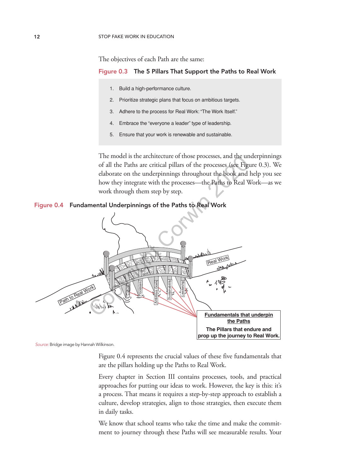The objectives of each Path are the same:

#### Figure 0.3 The 5 Pillars That Support the Paths to Real Work

- 1. Build a high-performance culture.
- 2. Prioritize strategic plans that focus on ambitious targets.
- 3. Adhere to the process for Real Work: "The Work Itself."
- 4. Embrace the "everyone a leader" type of leadership.
- 5. Ensure that your work is renewable and sustainable.

The model is the architecture of those processes, and the underpinnings of all the Paths are critical pillars of the processes (see Figure 0.3). We elaborate on the underpinnings throughout the book and help you see how they integrate with the processes—the Paths to Real Work—as we work through them step by step.

#### Figure 0.4 Fundamental Underpinnings of the Paths to Real Work



*Source:* Bridge image by Hannah Wilkinson.

Figure 0.4 represents the crucial values of these five fundamentals that are the pillars holding up the Paths to Real Work.

Every chapter in Section III contains processes, tools, and practical approaches for putting our ideas to work. However, the key is this: it's a process. That means it requires a step-by-step approach to establish a culture, develop strategies, align to those strategies, then execute them in daily tasks.

We know that school teams who take the time and make the commitment to journey through these Paths will see measurable results. Your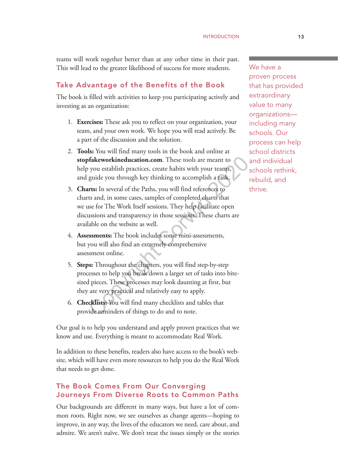teams will work together better than at any other time in their past. This will lead to the greater likelihood of success for more students.

# Take Advantage of the Benefits of the Book

The book is filled with activities to keep you participating actively and investing as an organization:

- 1. **Exercises:** These ask you to reflect on your organization, your team, and your own work. We hope you will read actively. Be a part of the discussion and the solution.
- 2. **Tools:** You will find many tools in the book and online at **stopfakeworkineducation.com**. These tools are meant to help you establish practices, create habits with your teams, and guide you through key thinking to accomplish a task.
- 3. **Charts:** In several of the Paths, you will find references to charts and, in some cases, samples of completed charts that we use for The Work Itself sessions. They help facilitate open discussions and transparency in those sessions. These charts are available on the website as well. of the model is a mean to you establish practices, create habits with your teams, guide you through key thinking to accomplish a task.<br> **Compute Corpush** controller and in some cases, samples of completed charts that use f
- 4. **Assessments:** The book includes some mini-assessments, but you will also find an extremely comprehensive assessment online.
- 5. **Steps:** Throughout the chapters, you will find step-by-step processes to help you break down a larger set of tasks into bitesized pieces. These processes may look daunting at first, but they are very practical and relatively easy to apply.
- 6. **Checklists:** You will find many checklists and tables that provide reminders of things to do and to note.

Our goal is to help you understand and apply proven practices that we know and use. Everything is meant to accommodate Real Work.

In addition to these benefits, readers also have access to the book's website, which will have even more resources to help you do the Real Work that needs to get done.

# The Book Comes From Our Converging Journeys From Diverse Roots to Common Paths

Our backgrounds are different in many ways, but have a lot of common roots. Right now, we see ourselves as change agents—hoping to improve, in any way, the lives of the educators we need, care about, and admire. We aren't naïve. We don't treat the issues simply or the stories We have a proven process that has provided extraordinary value to many organizations including many schools. Our process can help school districts and individual schools rethink, rebuild, and thrive.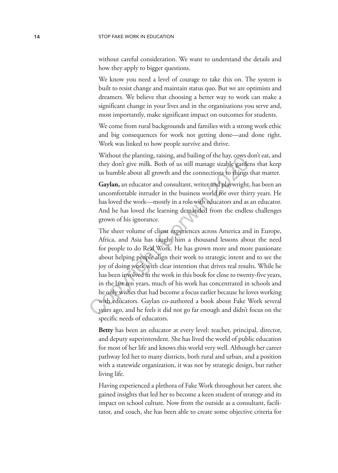without careful consideration. We want to understand the details and how they apply to bigger questions.

We know you need a level of courage to take this on. The system is built to resist change and maintain status quo. But we are optimists and dreamers. We believe that choosing a better way to work can make a significant change in your lives and in the organizations you serve and, most importantly, make significant impact on outcomes for students.

We come from rural backgrounds and families with a strong work ethic and big consequences for work not getting done—and done right. Work was linked to how people survive and thrive.

Without the planting, raising, and bailing of the hay, cows don't eat, and they don't give milk. Both of us still manage sizable gardens that keep us humble about all growth and the connections to things that matter.

**Gaylan,** an educator and consultant, writer and playwright, has been an uncomfortable intruder in the business world for over thirty years. He has loved the work—mostly in a role with educators and as an educator. And he has loved the learning demanded from the endless challenges grown of his ignorance.

The sheer volume of client experiences across America and in Europe, Africa, and Asia has taught him a thousand lessons about the need for people to do Real Work. He has grown more and more passionate about helping people align their work to strategic intent and to see the joy of doing work with clear intention that drives real results. While he has been involved in the work in this book for close to twenty-five years, in the last ten years, much of his work has concentrated in schools and he only wishes that had become a focus earlier because he loves working with educators. Gaylan co-authored a book about Fake Work several years ago, and he feels it did not go far enough and didn't focus on the specific needs of educators. whilout the planting, rassing, and bandled or the riay, cows completed the short of the solution and the connections to things **Gaylan**, an educator and consultant, writer and playwright. uncomfortable intruder in the busi

**Betty** has been an educator at every level: teacher, principal, director, and deputy superintendent. She has lived the world of public education for most of her life and knows this world very well. Although her career pathway led her to many districts, both rural and urban, and a position with a statewide organization, it was not by strategic design, but rather living life.

Having experienced a plethora of Fake Work throughout her career, she gained insights that led her to become a keen student of strategy and its impact on school culture. Now from the outside as a consultant, facilitator, and coach, she has been able to create some objective criteria for